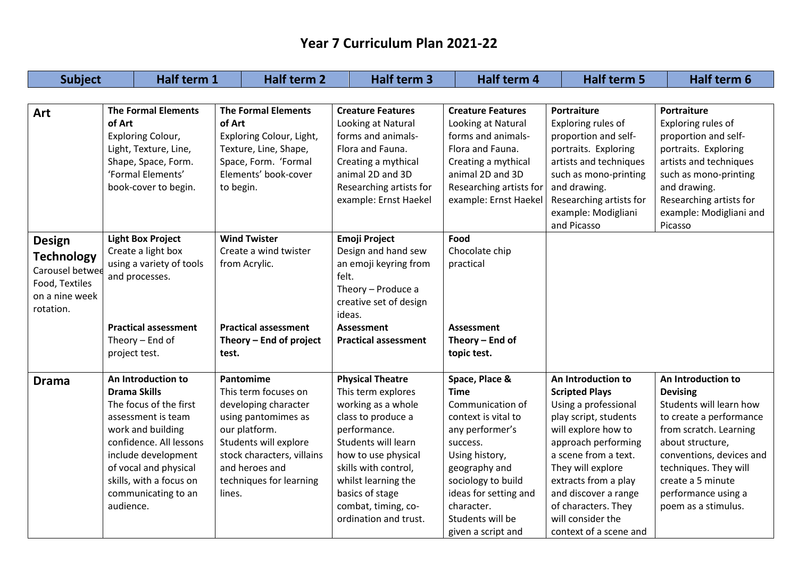| <b>Subject</b>                                                                                         | Half term 1                                                                                                                                                                                                                                                                                                             | Half term 2                                                                                                                                                                                                     | <b>Half term 3</b>                                                                                                                                                                                                                                                        | Half term 4                                                                                                                                                                                                                                       | <b>Half term 5</b>                                                                                                                                                                                                                                                                                            | Half term 6                                                                                                                                                                                                                                                       |
|--------------------------------------------------------------------------------------------------------|-------------------------------------------------------------------------------------------------------------------------------------------------------------------------------------------------------------------------------------------------------------------------------------------------------------------------|-----------------------------------------------------------------------------------------------------------------------------------------------------------------------------------------------------------------|---------------------------------------------------------------------------------------------------------------------------------------------------------------------------------------------------------------------------------------------------------------------------|---------------------------------------------------------------------------------------------------------------------------------------------------------------------------------------------------------------------------------------------------|---------------------------------------------------------------------------------------------------------------------------------------------------------------------------------------------------------------------------------------------------------------------------------------------------------------|-------------------------------------------------------------------------------------------------------------------------------------------------------------------------------------------------------------------------------------------------------------------|
|                                                                                                        |                                                                                                                                                                                                                                                                                                                         |                                                                                                                                                                                                                 |                                                                                                                                                                                                                                                                           |                                                                                                                                                                                                                                                   |                                                                                                                                                                                                                                                                                                               |                                                                                                                                                                                                                                                                   |
| Art                                                                                                    | <b>The Formal Elements</b><br><b>The Formal Elements</b><br>of Art<br>of Art<br>Exploring Colour, Light,<br><b>Exploring Colour,</b><br>Light, Texture, Line,<br>Texture, Line, Shape,<br>Shape, Space, Form.<br>Space, Form. 'Formal<br>'Formal Elements'<br>Elements' book-cover<br>book-cover to begin.<br>to begin. |                                                                                                                                                                                                                 | <b>Creature Features</b><br>Looking at Natural<br>forms and animals-<br>Flora and Fauna.<br>Creating a mythical<br>animal 2D and 3D<br>Researching artists for<br>example: Ernst Haekel                                                                                   | <b>Creature Features</b><br>Looking at Natural<br>forms and animals-<br>Flora and Fauna.<br>Creating a mythical<br>animal 2D and 3D<br>Researching artists for<br>example: Ernst Haekel                                                           | Portraiture<br>Exploring rules of<br>proportion and self-<br>portraits. Exploring<br>artists and techniques<br>such as mono-printing<br>and drawing.<br>Researching artists for<br>example: Modigliani<br>and Picasso                                                                                         | Portraiture<br>Exploring rules of<br>proportion and self-<br>portraits. Exploring<br>artists and techniques<br>such as mono-printing<br>and drawing.<br>Researching artists for<br>example: Modigliani and<br>Picasso                                             |
| <b>Design</b><br><b>Technology</b><br>Carousel betwee<br>Food, Textiles<br>on a nine week<br>rotation. | <b>Light Box Project</b><br>Create a light box<br>using a variety of tools<br>and processes.<br><b>Practical assessment</b><br>Theory $-$ End of<br>project test.                                                                                                                                                       | <b>Wind Twister</b><br>Create a wind twister<br>from Acrylic.<br><b>Practical assessment</b><br>Theory - End of project<br>test.                                                                                | <b>Emoji Project</b><br>Design and hand sew<br>an emoji keyring from<br>felt.<br>Theory - Produce a<br>creative set of design<br>ideas.<br><b>Assessment</b><br><b>Practical assessment</b>                                                                               | Food<br>Chocolate chip<br>practical<br><b>Assessment</b><br>Theory $-$ End of<br>topic test.                                                                                                                                                      |                                                                                                                                                                                                                                                                                                               |                                                                                                                                                                                                                                                                   |
| <b>Drama</b>                                                                                           | An Introduction to<br><b>Drama Skills</b><br>The focus of the first<br>assessment is team<br>work and building<br>confidence. All lessons<br>include development<br>of vocal and physical<br>skills, with a focus on<br>communicating to an<br>audience.                                                                | Pantomime<br>This term focuses on<br>developing character<br>using pantomimes as<br>our platform.<br>Students will explore<br>stock characters, villains<br>and heroes and<br>techniques for learning<br>lines. | <b>Physical Theatre</b><br>This term explores<br>working as a whole<br>class to produce a<br>performance.<br>Students will learn<br>how to use physical<br>skills with control,<br>whilst learning the<br>basics of stage<br>combat, timing, co-<br>ordination and trust. | Space, Place &<br><b>Time</b><br>Communication of<br>context is vital to<br>any performer's<br>success.<br>Using history,<br>geography and<br>sociology to build<br>ideas for setting and<br>character.<br>Students will be<br>given a script and | An Introduction to<br><b>Scripted Plays</b><br>Using a professional<br>play script, students<br>will explore how to<br>approach performing<br>a scene from a text.<br>They will explore<br>extracts from a play<br>and discover a range<br>of characters. They<br>will consider the<br>context of a scene and | An Introduction to<br><b>Devising</b><br>Students will learn how<br>to create a performance<br>from scratch. Learning<br>about structure,<br>conventions, devices and<br>techniques. They will<br>create a 5 minute<br>performance using a<br>poem as a stimulus. |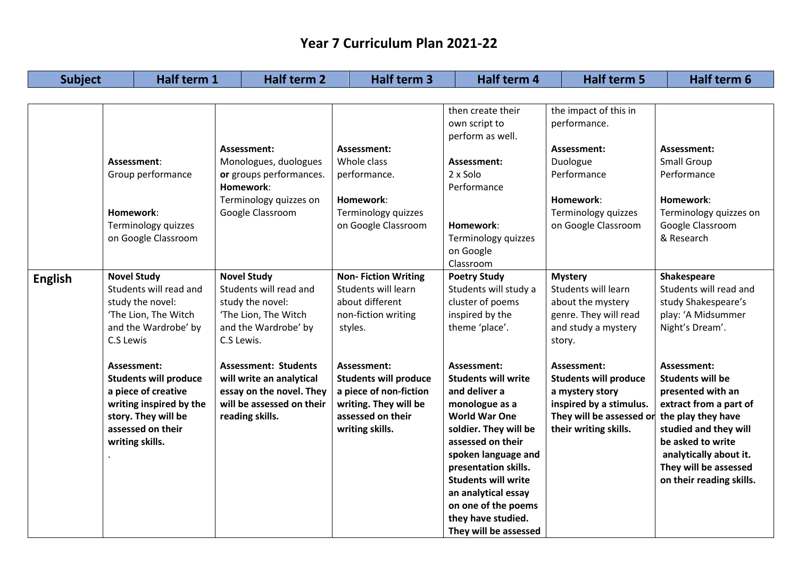| <b>Subject</b> |                                                                                             | Half term 1                                                                                                                |                                                                                                                            | <b>Half term 2</b>                                                                                                                  |         | Half term 3                                                                                                                            | Half term 4                                                                                                                                                                                                                                                                                                                  |                                                                                                   | <b>Half term 5</b>                                                                                                                             | Half term 6                                                                                                                                                                                                                              |
|----------------|---------------------------------------------------------------------------------------------|----------------------------------------------------------------------------------------------------------------------------|----------------------------------------------------------------------------------------------------------------------------|-------------------------------------------------------------------------------------------------------------------------------------|---------|----------------------------------------------------------------------------------------------------------------------------------------|------------------------------------------------------------------------------------------------------------------------------------------------------------------------------------------------------------------------------------------------------------------------------------------------------------------------------|---------------------------------------------------------------------------------------------------|------------------------------------------------------------------------------------------------------------------------------------------------|------------------------------------------------------------------------------------------------------------------------------------------------------------------------------------------------------------------------------------------|
|                |                                                                                             |                                                                                                                            |                                                                                                                            |                                                                                                                                     |         |                                                                                                                                        |                                                                                                                                                                                                                                                                                                                              |                                                                                                   |                                                                                                                                                |                                                                                                                                                                                                                                          |
|                |                                                                                             |                                                                                                                            |                                                                                                                            |                                                                                                                                     |         |                                                                                                                                        | then create their<br>own script to<br>perform as well.                                                                                                                                                                                                                                                                       |                                                                                                   | the impact of this in<br>performance.                                                                                                          |                                                                                                                                                                                                                                          |
|                | Assessment:<br>Group performance<br>Homework:<br>Terminology quizzes<br>on Google Classroom |                                                                                                                            | Assessment:<br>Monologues, duologues<br>or groups performances.<br>Homework:<br>Terminology quizzes on<br>Google Classroom |                                                                                                                                     |         | Assessment:<br>Whole class<br>performance.<br>Homework:<br>Terminology quizzes<br>on Google Classroom                                  | Assessment:<br>2 x Solo<br>Performance<br>Homework:<br>Terminology quizzes                                                                                                                                                                                                                                                   | Assessment:<br>Duologue<br>Performance<br>Homework:<br>Terminology quizzes<br>on Google Classroom |                                                                                                                                                | Assessment:<br>Small Group<br>Performance<br>Homework:<br>Terminology quizzes on<br>Google Classroom<br>& Research                                                                                                                       |
|                | <b>Novel Study</b>                                                                          |                                                                                                                            |                                                                                                                            | <b>Novel Study</b>                                                                                                                  |         | <b>Non-Fiction Writing</b>                                                                                                             | on Google<br>Classroom<br><b>Poetry Study</b>                                                                                                                                                                                                                                                                                |                                                                                                   | <b>Mystery</b>                                                                                                                                 | Shakespeare                                                                                                                                                                                                                              |
| <b>English</b> | C.S Lewis                                                                                   | Students will read and<br>study the novel:<br>'The Lion, The Witch<br>and the Wardrobe' by                                 | C.S Lewis.                                                                                                                 | Students will read and<br>study the novel:<br>'The Lion, The Witch<br>and the Wardrobe' by                                          | styles. | Students will learn<br>about different<br>non-fiction writing                                                                          | Students will study a<br>cluster of poems<br>inspired by the<br>theme 'place'.                                                                                                                                                                                                                                               | story.                                                                                            | Students will learn<br>about the mystery<br>genre. They will read<br>and study a mystery                                                       | Students will read and<br>study Shakespeare's<br>play: 'A Midsummer<br>Night's Dream'.                                                                                                                                                   |
|                | Assessment:<br>writing skills.                                                              | <b>Students will produce</b><br>a piece of creative<br>writing inspired by the<br>story. They will be<br>assessed on their |                                                                                                                            | <b>Assessment: Students</b><br>will write an analytical<br>essay on the novel. They<br>will be assessed on their<br>reading skills. |         | Assessment:<br><b>Students will produce</b><br>a piece of non-fiction<br>writing. They will be<br>assessed on their<br>writing skills. | Assessment:<br><b>Students will write</b><br>and deliver a<br>monologue as a<br><b>World War One</b><br>soldier. They will be<br>assessed on their<br>spoken language and<br>presentation skills.<br><b>Students will write</b><br>an analytical essay<br>on one of the poems<br>they have studied.<br>They will be assessed |                                                                                                   | Assessment:<br><b>Students will produce</b><br>a mystery story<br>inspired by a stimulus.<br>They will be assessed or<br>their writing skills. | Assessment:<br><b>Students will be</b><br>presented with an<br>extract from a part of<br>the play they have<br>studied and they will<br>be asked to write<br>analytically about it.<br>They will be assessed<br>on their reading skills. |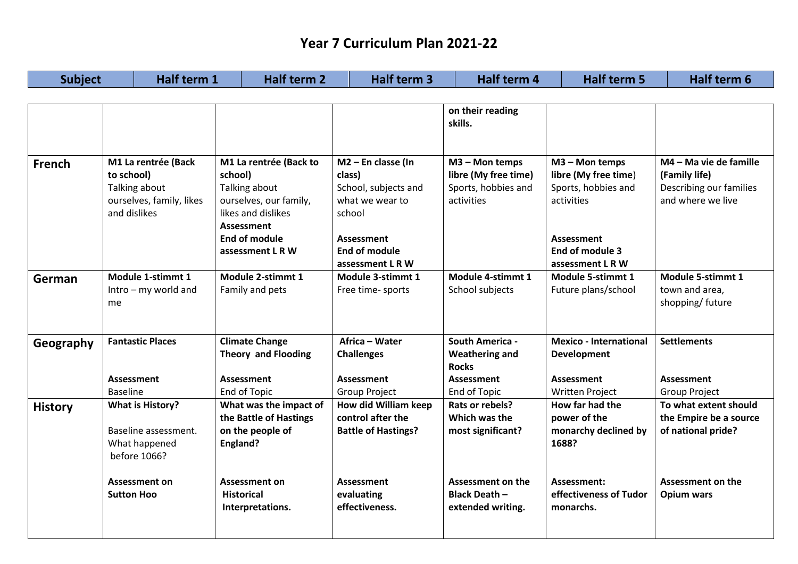| <b>Subject</b> | Half term 1                                                                                         | <b>Half term 2</b>                                                                                                                                           | Half term 3                                                                                                                            | Half term 4                                                                 | <b>Half term 5</b>                                                                                                                      | <b>Half term 6</b>                                                                            |
|----------------|-----------------------------------------------------------------------------------------------------|--------------------------------------------------------------------------------------------------------------------------------------------------------------|----------------------------------------------------------------------------------------------------------------------------------------|-----------------------------------------------------------------------------|-----------------------------------------------------------------------------------------------------------------------------------------|-----------------------------------------------------------------------------------------------|
|                |                                                                                                     |                                                                                                                                                              |                                                                                                                                        |                                                                             |                                                                                                                                         |                                                                                               |
|                |                                                                                                     |                                                                                                                                                              |                                                                                                                                        | on their reading<br>skills.                                                 |                                                                                                                                         |                                                                                               |
| <b>French</b>  | M1 La rentrée (Back<br>to school)<br>Talking about<br>ourselves, family, likes<br>and dislikes      | M1 La rentrée (Back to<br>school)<br>Talking about<br>ourselves, our family,<br>likes and dislikes<br>Assessment<br><b>End of module</b><br>assessment L R W | $M2$ – En classe (In<br>class)<br>School, subjects and<br>what we wear to<br>school<br>Assessment<br>End of module<br>assessment L R W | M3 - Mon temps<br>libre (My free time)<br>Sports, hobbies and<br>activities | M3 - Mon temps<br>libre (My free time)<br>Sports, hobbies and<br>activities<br><b>Assessment</b><br>End of module 3<br>assessment L R W | M4 - Ma vie de famille<br>(Family life)<br>Describing our families<br>and where we live       |
| German         | Module 1-stimmt 1<br>$Intro - my$ world and<br>me                                                   | Module 2-stimmt 1<br>Family and pets                                                                                                                         | Module 3-stimmt 1<br>Free time- sports                                                                                                 | Module 4-stimmt 1<br>School subjects                                        | Module 5-stimmt 1<br>Future plans/school                                                                                                | Module 5-stimmt 1<br>town and area,<br>shopping/ future                                       |
| Geography      | <b>Fantastic Places</b>                                                                             | <b>Climate Change</b><br><b>Theory and Flooding</b>                                                                                                          | Africa - Water<br><b>Challenges</b>                                                                                                    | <b>South America -</b><br><b>Weathering and</b><br><b>Rocks</b>             | <b>Mexico - International</b><br><b>Development</b>                                                                                     | <b>Settlements</b>                                                                            |
|                | Assessment                                                                                          | Assessment                                                                                                                                                   | Assessment                                                                                                                             | <b>Assessment</b>                                                           | <b>Assessment</b>                                                                                                                       | <b>Assessment</b>                                                                             |
| <b>History</b> | <b>Baseline</b><br><b>What is History?</b><br>Baseline assessment.<br>What happened<br>before 1066? | End of Topic<br>What was the impact of<br>the Battle of Hastings<br>on the people of<br>England?                                                             | <b>Group Project</b><br><b>How did William keep</b><br>control after the<br><b>Battle of Hastings?</b>                                 | End of Topic<br>Rats or rebels?<br>Which was the<br>most significant?       | <b>Written Project</b><br>How far had the<br>power of the<br>monarchy declined by<br>1688?                                              | <b>Group Project</b><br>To what extent should<br>the Empire be a source<br>of national pride? |
|                | <b>Assessment on</b><br><b>Sutton Hoo</b>                                                           | <b>Assessment on</b><br><b>Historical</b><br>Interpretations.                                                                                                | Assessment<br>evaluating<br>effectiveness.                                                                                             | <b>Assessment on the</b><br><b>Black Death -</b><br>extended writing.       | Assessment:<br>effectiveness of Tudor<br>monarchs.                                                                                      | <b>Assessment on the</b><br><b>Opium wars</b>                                                 |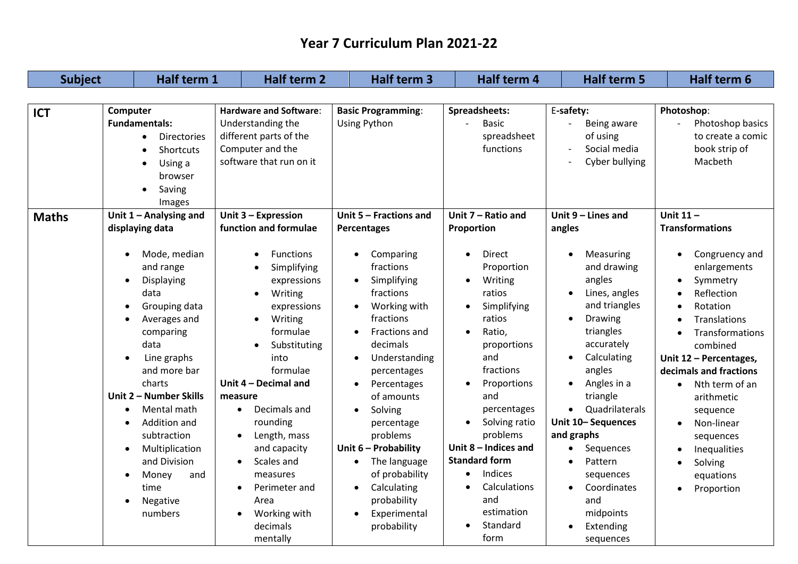| <b>Subject</b> | Half term 1                                                                                                                                                                                                                                                                                                                                                         | <b>Half term 2</b>                                                                                                                                                                                                                                                                                                                                                                                                   | <b>Half term 3</b>                                                                                                                                                                                                                                                                                                                                                                                         | Half term 4                                                                                                                                                                                                                                                                                                                                                                                     | <b>Half term 5</b>                                                                                                                                                                                                                                                                                                                                                   | Half term 6                                                                                                                                                                                                                                                                                                                                                                                       |
|----------------|---------------------------------------------------------------------------------------------------------------------------------------------------------------------------------------------------------------------------------------------------------------------------------------------------------------------------------------------------------------------|----------------------------------------------------------------------------------------------------------------------------------------------------------------------------------------------------------------------------------------------------------------------------------------------------------------------------------------------------------------------------------------------------------------------|------------------------------------------------------------------------------------------------------------------------------------------------------------------------------------------------------------------------------------------------------------------------------------------------------------------------------------------------------------------------------------------------------------|-------------------------------------------------------------------------------------------------------------------------------------------------------------------------------------------------------------------------------------------------------------------------------------------------------------------------------------------------------------------------------------------------|----------------------------------------------------------------------------------------------------------------------------------------------------------------------------------------------------------------------------------------------------------------------------------------------------------------------------------------------------------------------|---------------------------------------------------------------------------------------------------------------------------------------------------------------------------------------------------------------------------------------------------------------------------------------------------------------------------------------------------------------------------------------------------|
|                |                                                                                                                                                                                                                                                                                                                                                                     |                                                                                                                                                                                                                                                                                                                                                                                                                      |                                                                                                                                                                                                                                                                                                                                                                                                            |                                                                                                                                                                                                                                                                                                                                                                                                 |                                                                                                                                                                                                                                                                                                                                                                      |                                                                                                                                                                                                                                                                                                                                                                                                   |
| <b>ICT</b>     | Computer<br><b>Fundamentals:</b><br><b>Directories</b><br>$\bullet$<br>Shortcuts<br>Using a<br>$\bullet$<br>browser<br>Saving<br>$\bullet$<br>Images                                                                                                                                                                                                                | <b>Hardware and Software:</b><br>Understanding the<br>different parts of the<br>Computer and the<br>software that run on it                                                                                                                                                                                                                                                                                          | <b>Basic Programming:</b><br><b>Using Python</b>                                                                                                                                                                                                                                                                                                                                                           | Spreadsheets:<br><b>Basic</b><br>spreadsheet<br>functions                                                                                                                                                                                                                                                                                                                                       |                                                                                                                                                                                                                                                                                                                                                                      | Photoshop:<br>Photoshop basics<br>to create a comic<br>book strip of<br>Macbeth                                                                                                                                                                                                                                                                                                                   |
| <b>Maths</b>   | Unit $1 -$ Analysing and<br>displaying data<br>Mode, median<br>and range<br>Displaying<br>$\bullet$<br>data<br>Grouping data<br>Averages and<br>comparing<br>data<br>Line graphs<br>and more bar<br>charts<br>Unit 2 - Number Skills<br>Mental math<br>Addition and<br>subtraction<br>Multiplication<br>and Division<br>Money<br>and<br>time<br>Negative<br>numbers | Unit 3 - Expression<br>function and formulae<br><b>Functions</b><br>Simplifying<br>expressions<br>Writing<br>$\bullet$<br>expressions<br>Writing<br>formulae<br>Substituting<br>into<br>formulae<br>Unit 4 - Decimal and<br>measure<br>Decimals and<br>$\bullet$<br>rounding<br>Length, mass<br>and capacity<br>Scales and<br>measures<br>Perimeter and<br>$\bullet$<br>Area<br>Working with<br>decimals<br>mentally | Unit $5$ – Fractions and<br>Percentages<br>Comparing<br>fractions<br>Simplifying<br>$\bullet$<br>fractions<br>Working with<br>fractions<br>Fractions and<br>decimals<br>Understanding<br>percentages<br>Percentages<br>of amounts<br>Solving<br>percentage<br>problems<br>Unit 6 - Probability<br>The language<br>of probability<br>Calculating<br>$\bullet$<br>probability<br>Experimental<br>probability | Unit 7 - Ratio and<br>Proportion<br>Direct<br>$\bullet$<br>Proportion<br>Writing<br>$\bullet$<br>ratios<br>Simplifying<br>$\bullet$<br>ratios<br>Ratio,<br>$\bullet$<br>proportions<br>and<br>fractions<br>Proportions<br>and<br>percentages<br>Solving ratio<br>problems<br>Unit $8$ – Indices and<br><b>Standard form</b><br>Indices<br>Calculations<br>and<br>estimation<br>Standard<br>form | Unit $9$ – Lines and<br>angles<br>Measuring<br>and drawing<br>angles<br>Lines, angles<br>and triangles<br>Drawing<br>$\bullet$<br>triangles<br>accurately<br>Calculating<br>angles<br>Angles in a<br>triangle<br>Quadrilaterals<br>Unit 10-Sequences<br>and graphs<br>Sequences<br>Pattern<br>sequences<br>Coordinates<br>and<br>midpoints<br>Extending<br>sequences | Unit $11 -$<br><b>Transformations</b><br>Congruency and<br>enlargements<br>Symmetry<br>$\bullet$<br>Reflection<br>Rotation<br>Translations<br>Transformations<br>combined<br>Unit 12 - Percentages,<br>decimals and fractions<br>Nth term of an<br>$\bullet$<br>arithmetic<br>sequence<br>Non-linear<br>sequences<br>Inequalities<br>Solving<br>$\bullet$<br>equations<br>Proportion<br>$\bullet$ |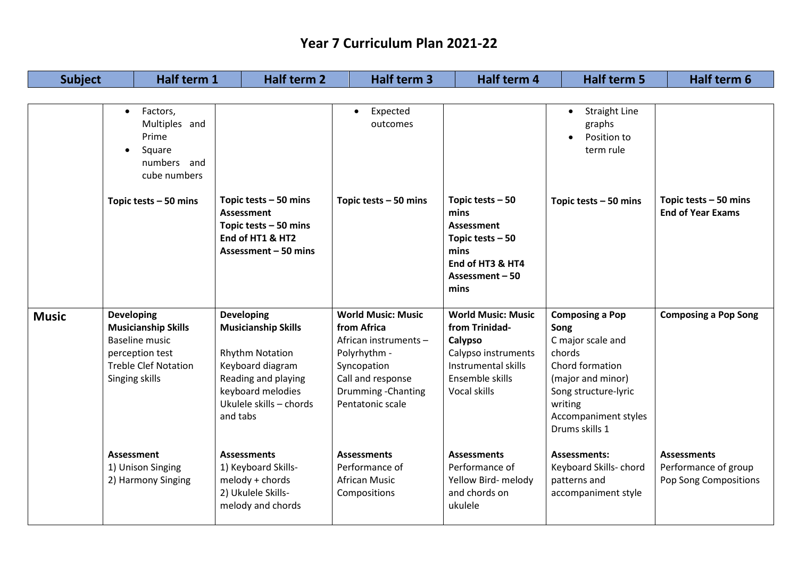| <b>Subject</b> |                                     | Half term 1                                                                                           | <b>Half term 2</b>                                                                                                                                                               |  |                                                                                                                                                                  | Half term 4                                                                                                                             | <b>Half term 5</b>                                                                                                                                                                 | Half term 6                                                         |
|----------------|-------------------------------------|-------------------------------------------------------------------------------------------------------|----------------------------------------------------------------------------------------------------------------------------------------------------------------------------------|--|------------------------------------------------------------------------------------------------------------------------------------------------------------------|-----------------------------------------------------------------------------------------------------------------------------------------|------------------------------------------------------------------------------------------------------------------------------------------------------------------------------------|---------------------------------------------------------------------|
|                |                                     |                                                                                                       |                                                                                                                                                                                  |  |                                                                                                                                                                  |                                                                                                                                         |                                                                                                                                                                                    |                                                                     |
|                | $\bullet$<br>$\bullet$              | Factors,<br>Multiples and<br>Prime<br>Square<br>numbers and<br>cube numbers                           |                                                                                                                                                                                  |  | Expected<br>$\bullet$<br>outcomes                                                                                                                                |                                                                                                                                         | <b>Straight Line</b><br>$\bullet$<br>graphs<br>Position to<br>term rule                                                                                                            |                                                                     |
|                |                                     | Topic tests $-50$ mins                                                                                | Topic tests $-50$ mins<br><b>Assessment</b><br>Topic tests $-50$ mins<br>End of HT1 & HT2<br>Assessment - 50 mins                                                                |  | Topic tests $-50$ mins                                                                                                                                           | Topic tests $-50$<br>mins<br><b>Assessment</b><br>Topic tests $-50$<br>mins<br>End of HT3 & HT4<br>Assessment – 50<br>mins              | Topic tests $-50$ mins                                                                                                                                                             | Topic tests $-50$ mins<br><b>End of Year Exams</b>                  |
| <b>Music</b>   | <b>Developing</b><br>Singing skills | <b>Musicianship Skills</b><br><b>Baseline music</b><br>perception test<br><b>Treble Clef Notation</b> | <b>Developing</b><br><b>Musicianship Skills</b><br><b>Rhythm Notation</b><br>Keyboard diagram<br>Reading and playing<br>keyboard melodies<br>Ukulele skills - chords<br>and tabs |  | <b>World Music: Music</b><br>from Africa<br>African instruments -<br>Polyrhythm -<br>Syncopation<br>Call and response<br>Drumming - Chanting<br>Pentatonic scale | <b>World Music: Music</b><br>from Trinidad-<br>Calypso<br>Calypso instruments<br>Instrumental skills<br>Ensemble skills<br>Vocal skills | <b>Composing a Pop</b><br>Song<br>C major scale and<br>chords<br>Chord formation<br>(major and minor)<br>Song structure-lyric<br>writing<br>Accompaniment styles<br>Drums skills 1 | <b>Composing a Pop Song</b>                                         |
|                | <b>Assessment</b>                   | 1) Unison Singing<br>2) Harmony Singing                                                               | <b>Assessments</b><br>1) Keyboard Skills-<br>melody + chords<br>2) Ukulele Skills-<br>melody and chords                                                                          |  | <b>Assessments</b><br>Performance of<br><b>African Music</b><br>Compositions                                                                                     | <b>Assessments</b><br>Performance of<br>Yellow Bird- melody<br>and chords on<br>ukulele                                                 | <b>Assessments:</b><br>Keyboard Skills-chord<br>patterns and<br>accompaniment style                                                                                                | <b>Assessments</b><br>Performance of group<br>Pop Song Compositions |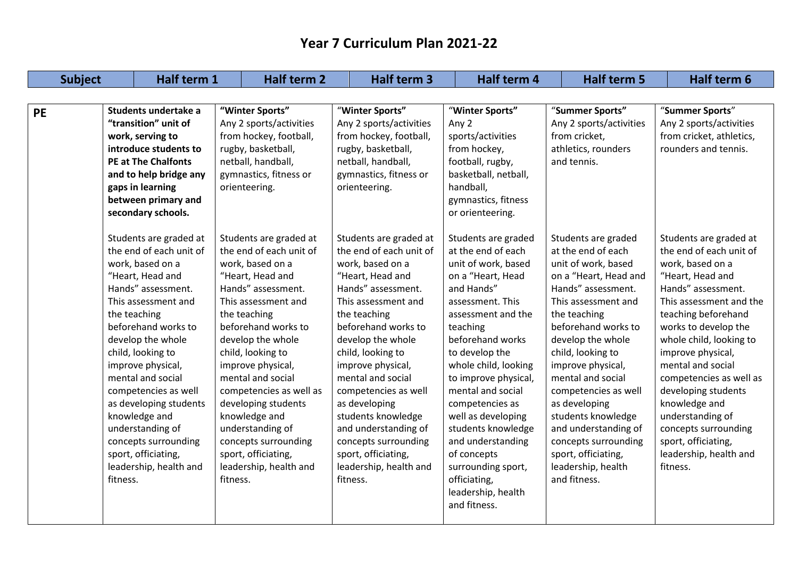| <b>Subject</b> |                                                                                                                                                                                                                                                                                                                                                                                                                                               | Half term 1<br>Half term 2                                                                                                                                                                                                                                                                                                                                                                                                                    |                                                                                                                                                                                                                                                                                                                                                                                                                                               | Half term 4                                                                                                                                                                                                                                                                                                                                                                                                                                         | Half term 5                                                                                                                                                                                                                                                                                                                                                                                                                                   | Half term 6                                                                                                                                                                                                                                                                                                                                                                                                                                |
|----------------|-----------------------------------------------------------------------------------------------------------------------------------------------------------------------------------------------------------------------------------------------------------------------------------------------------------------------------------------------------------------------------------------------------------------------------------------------|-----------------------------------------------------------------------------------------------------------------------------------------------------------------------------------------------------------------------------------------------------------------------------------------------------------------------------------------------------------------------------------------------------------------------------------------------|-----------------------------------------------------------------------------------------------------------------------------------------------------------------------------------------------------------------------------------------------------------------------------------------------------------------------------------------------------------------------------------------------------------------------------------------------|-----------------------------------------------------------------------------------------------------------------------------------------------------------------------------------------------------------------------------------------------------------------------------------------------------------------------------------------------------------------------------------------------------------------------------------------------------|-----------------------------------------------------------------------------------------------------------------------------------------------------------------------------------------------------------------------------------------------------------------------------------------------------------------------------------------------------------------------------------------------------------------------------------------------|--------------------------------------------------------------------------------------------------------------------------------------------------------------------------------------------------------------------------------------------------------------------------------------------------------------------------------------------------------------------------------------------------------------------------------------------|
|                |                                                                                                                                                                                                                                                                                                                                                                                                                                               |                                                                                                                                                                                                                                                                                                                                                                                                                                               |                                                                                                                                                                                                                                                                                                                                                                                                                                               |                                                                                                                                                                                                                                                                                                                                                                                                                                                     |                                                                                                                                                                                                                                                                                                                                                                                                                                               |                                                                                                                                                                                                                                                                                                                                                                                                                                            |
| <b>PE</b>      | Students undertake a<br>"transition" unit of<br>work, serving to<br>introduce students to<br><b>PE at The Chalfonts</b><br>and to help bridge any<br>gaps in learning<br>between primary and<br>secondary schools.                                                                                                                                                                                                                            | "Winter Sports"<br>Any 2 sports/activities<br>from hockey, football,<br>rugby, basketball,<br>netball, handball,<br>gymnastics, fitness or<br>orienteering.                                                                                                                                                                                                                                                                                   | "Winter Sports"<br>Any 2 sports/activities<br>from hockey, football,<br>rugby, basketball,<br>netball, handball,<br>gymnastics, fitness or<br>orienteering.                                                                                                                                                                                                                                                                                   | "Winter Sports"<br>Any 2<br>sports/activities<br>from hockey,<br>football, rugby,<br>basketball, netball,<br>handball,<br>gymnastics, fitness<br>or orienteering.                                                                                                                                                                                                                                                                                   | "Summer Sports"<br>Any 2 sports/activities<br>from cricket,<br>athletics, rounders<br>and tennis.                                                                                                                                                                                                                                                                                                                                             | "Summer Sports"<br>Any 2 sports/activities<br>from cricket, athletics,<br>rounders and tennis.                                                                                                                                                                                                                                                                                                                                             |
|                | Students are graded at<br>the end of each unit of<br>work, based on a<br>"Heart, Head and<br>Hands" assessment.<br>This assessment and<br>the teaching<br>beforehand works to<br>develop the whole<br>child, looking to<br>improve physical,<br>mental and social<br>competencies as well<br>as developing students<br>knowledge and<br>understanding of<br>concepts surrounding<br>sport, officiating,<br>leadership, health and<br>fitness. | Students are graded at<br>the end of each unit of<br>work, based on a<br>"Heart, Head and<br>Hands" assessment.<br>This assessment and<br>the teaching<br>beforehand works to<br>develop the whole<br>child, looking to<br>improve physical,<br>mental and social<br>competencies as well as<br>developing students<br>knowledge and<br>understanding of<br>concepts surrounding<br>sport, officiating,<br>leadership, health and<br>fitness. | Students are graded at<br>the end of each unit of<br>work, based on a<br>"Heart, Head and<br>Hands" assessment.<br>This assessment and<br>the teaching<br>beforehand works to<br>develop the whole<br>child, looking to<br>improve physical,<br>mental and social<br>competencies as well<br>as developing<br>students knowledge<br>and understanding of<br>concepts surrounding<br>sport, officiating,<br>leadership, health and<br>fitness. | Students are graded<br>at the end of each<br>unit of work, based<br>on a "Heart, Head<br>and Hands"<br>assessment. This<br>assessment and the<br>teaching<br>beforehand works<br>to develop the<br>whole child, looking<br>to improve physical,<br>mental and social<br>competencies as<br>well as developing<br>students knowledge<br>and understanding<br>of concepts<br>surrounding sport,<br>officiating,<br>leadership, health<br>and fitness. | Students are graded<br>at the end of each<br>unit of work, based<br>on a "Heart, Head and<br>Hands" assessment.<br>This assessment and<br>the teaching<br>beforehand works to<br>develop the whole<br>child, looking to<br>improve physical,<br>mental and social<br>competencies as well<br>as developing<br>students knowledge<br>and understanding of<br>concepts surrounding<br>sport, officiating,<br>leadership, health<br>and fitness. | Students are graded at<br>the end of each unit of<br>work, based on a<br>"Heart, Head and<br>Hands" assessment.<br>This assessment and the<br>teaching beforehand<br>works to develop the<br>whole child, looking to<br>improve physical,<br>mental and social<br>competencies as well as<br>developing students<br>knowledge and<br>understanding of<br>concepts surrounding<br>sport, officiating,<br>leadership, health and<br>fitness. |